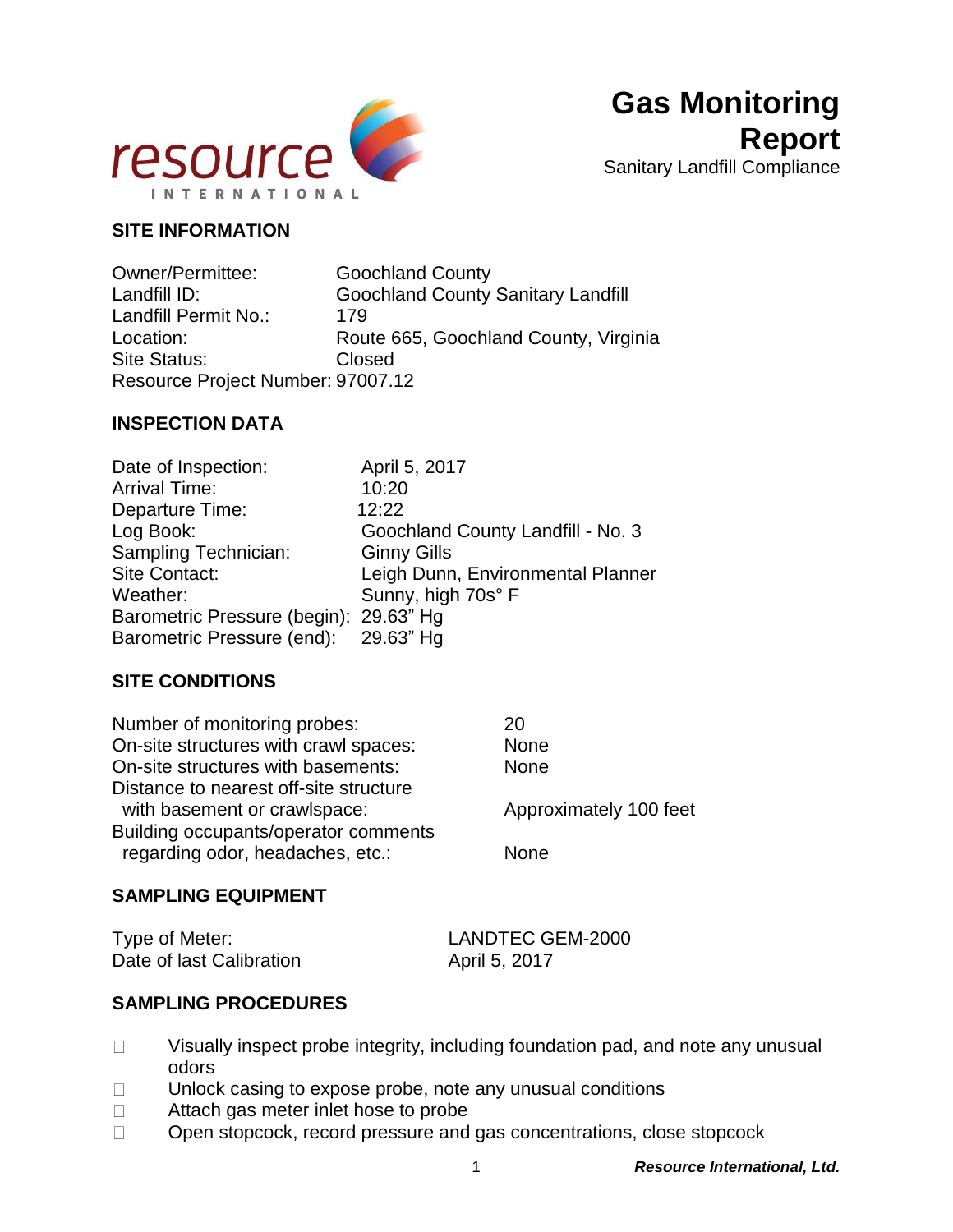

## **SITE INFORMATION**

Owner/Permittee: Goochland County Landfill ID: Goochland County Sanitary Landfill Landfill Permit No.: 179 Location: Route 665, Goochland County, Virginia Site Status: Closed Resource Project Number: 97007.12

#### **INSPECTION DATA**

| Date of Inspection:                    | April 5, 2017                     |
|----------------------------------------|-----------------------------------|
| <b>Arrival Time:</b>                   | 10:20                             |
| Departure Time:                        | 12:22                             |
| Log Book:                              | Goochland County Landfill - No. 3 |
| Sampling Technician:                   | <b>Ginny Gills</b>                |
| Site Contact:                          | Leigh Dunn, Environmental Planner |
| Weather:                               | Sunny, high 70s° F                |
| Barometric Pressure (begin): 29.63" Hg |                                   |
| Barometric Pressure (end): 29.63" Hg   |                                   |

#### **SITE CONDITIONS**

| 20                     |
|------------------------|
| <b>None</b>            |
| <b>None</b>            |
|                        |
| Approximately 100 feet |
| <b>None</b>            |
|                        |

#### **SAMPLING EQUIPMENT**

| Type of Meter:           | LANDTEC GEM-2000 |
|--------------------------|------------------|
| Date of last Calibration | April 5, 2017    |

#### **SAMPLING PROCEDURES**

- Visually inspect probe integrity, including foundation pad, and note any unusual  $\Box$ odors
- Unlock casing to expose probe, note any unusual conditions  $\Box$
- Attach gas meter inlet hose to probe  $\Box$
- Open stopcock, record pressure and gas concentrations, close stopcock $\Box$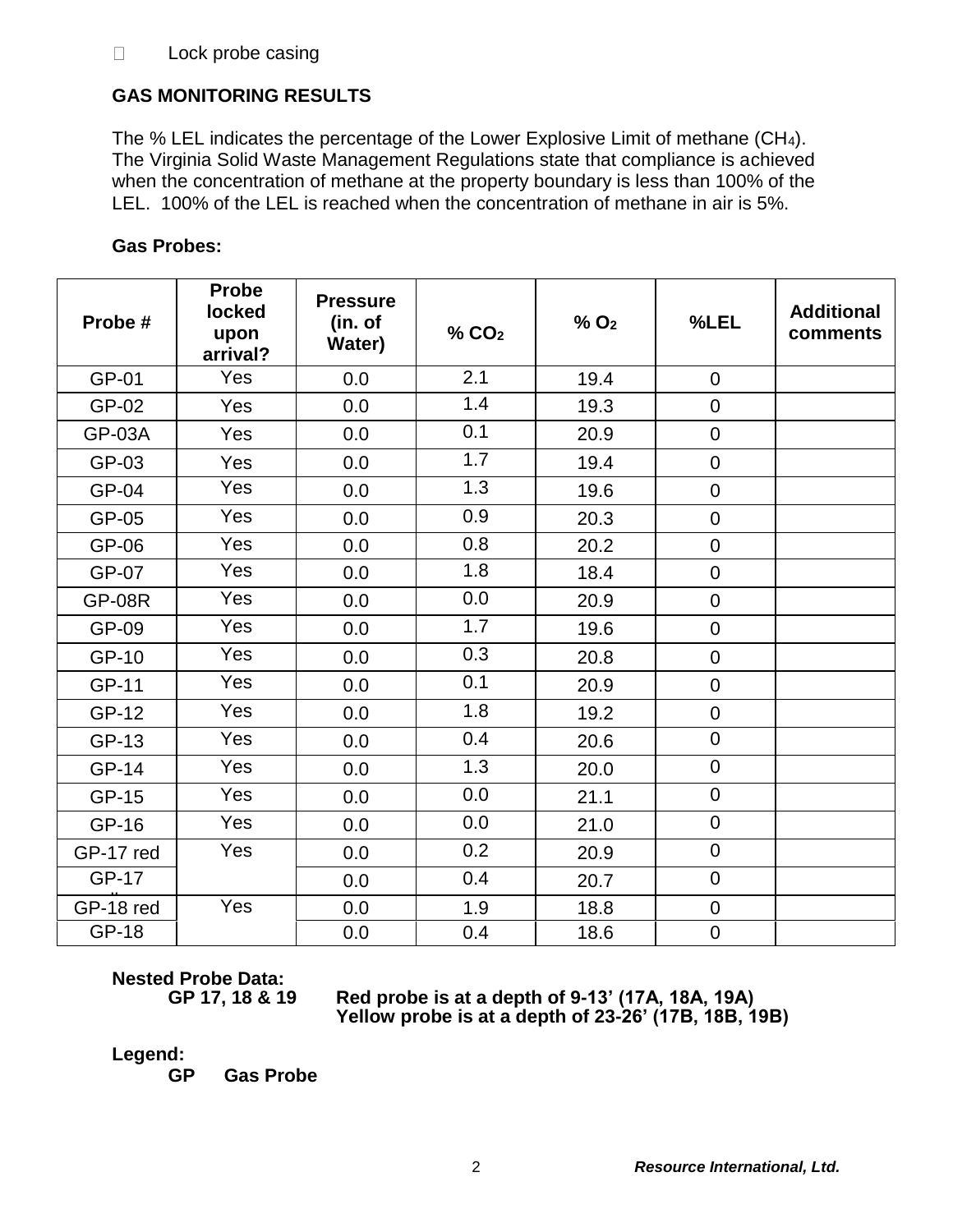# **GAS MONITORING RESULTS**

The % LEL indicates the percentage of the Lower Explosive Limit of methane (CH4). The Virginia Solid Waste Management Regulations state that compliance is achieved when the concentration of methane at the property boundary is less than 100% of the LEL. 100% of the LEL is reached when the concentration of methane in air is 5%.

| Probe#        | <b>Probe</b><br>locked<br>upon<br>arrival? | <b>Pressure</b><br>(in. of<br><b>Water)</b> | % CO <sub>2</sub> | $%$ O <sub>2</sub> | %LEL             | <b>Additional</b><br>comments |
|---------------|--------------------------------------------|---------------------------------------------|-------------------|--------------------|------------------|-------------------------------|
| GP-01         | Yes                                        | 0.0                                         | 2.1               | 19.4               | $\mathbf 0$      |                               |
| GP-02         | Yes                                        | 0.0                                         | 1.4               | 19.3               | $\mathbf 0$      |                               |
| <b>GP-03A</b> | Yes                                        | 0.0                                         | 0.1               | 20.9               | $\mathbf 0$      |                               |
| GP-03         | Yes                                        | 0.0                                         | 1.7               | 19.4               | $\mathbf 0$      |                               |
| GP-04         | Yes                                        | 0.0                                         | 1.3               | 19.6               | $\mathbf 0$      |                               |
| GP-05         | Yes                                        | 0.0                                         | 0.9               | 20.3               | $\mathbf 0$      |                               |
| GP-06         | Yes                                        | 0.0                                         | 0.8               | 20.2               | $\mathbf 0$      |                               |
| <b>GP-07</b>  | Yes                                        | 0.0                                         | 1.8               | 18.4               | $\boldsymbol{0}$ |                               |
| <b>GP-08R</b> | Yes                                        | 0.0                                         | 0.0               | 20.9               | $\mathbf 0$      |                               |
| GP-09         | Yes                                        | 0.0                                         | 1.7               | 19.6               | $\mathbf 0$      |                               |
| GP-10         | Yes                                        | 0.0                                         | 0.3               | 20.8               | $\mathbf 0$      |                               |
| <b>GP-11</b>  | Yes                                        | 0.0                                         | 0.1               | 20.9               | $\mathbf 0$      |                               |
| GP-12         | Yes                                        | 0.0                                         | 1.8               | 19.2               | $\pmb{0}$        |                               |
| GP-13         | Yes                                        | 0.0                                         | 0.4               | 20.6               | $\mathbf 0$      |                               |
| GP-14         | Yes                                        | 0.0                                         | 1.3               | 20.0               | $\mathbf 0$      |                               |
| GP-15         | Yes                                        | 0.0                                         | 0.0               | 21.1               | $\mathbf 0$      |                               |
| GP-16         | Yes                                        | 0.0                                         | 0.0               | 21.0               | $\mathbf 0$      |                               |
| GP-17 red     | Yes                                        | 0.0                                         | 0.2               | 20.9               | $\mathbf 0$      |                               |
| <b>GP-17</b>  |                                            | 0.0                                         | 0.4               | 20.7               | $\boldsymbol{0}$ |                               |
| GP-18 red     | Yes                                        | 0.0                                         | 1.9               | 18.8               | $\mathbf 0$      |                               |
| <b>GP-18</b>  |                                            | 0.0                                         | 0.4               | 18.6               | $\mathbf 0$      |                               |

## **Gas Probes:**

**Nested Probe Data:**

**GP 17, 18 & 19 Red probe is at a depth of 9-13' (17A, 18A, 19A) Yellow probe is at a depth of 23-26' (17B, 18B, 19B)**

**Legend:**

yellow

**GP Gas Probe**